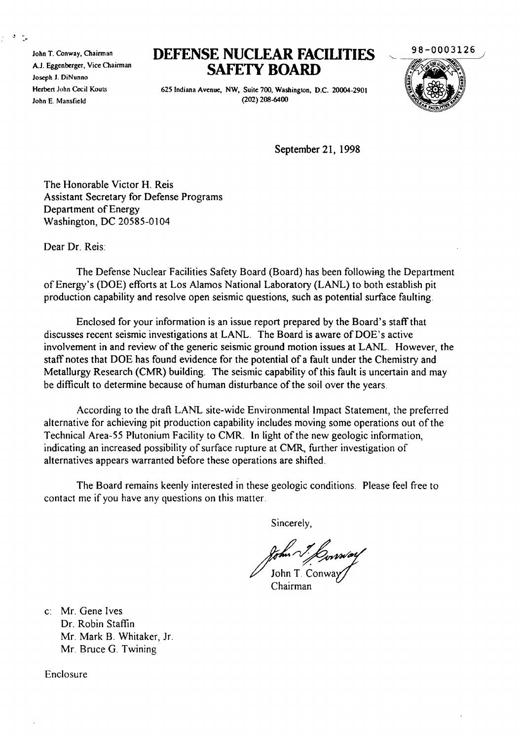John T. Conway, Chairman AJ. Eggenberger, Vice Chairman Joseph J. DiNunno Herbert John Cecil Kouts John E. Mansfield

## **DEFENSE NUCLEAR FACIUTIES SAFETY BOARD**

625 Indiana Avenue, NW, Suite 700, Washington, D.C. 20004-2901 (202) 208-6400



September 21, 1998

The Honorable Victor H. Reis Assistant Secretary for Defense Programs Department of Energy Washington, DC 20585-0104

Dear Dr. Reis:

The Defense Nuclear Facilities Safety Board (Board) has been following the Department ofEnergy's (DOE) efforts at Los Alamos National Laboratory (LANL) to both establish pit production capability and resolve open seismic questions, such as potential surface faulting.

Enclosed for your information is an issue report prepared by the Board's staffthat discusses recent seismic investigations at LANL. The Board is aware of DOE's active involvement in and review of the generic seismic ground motion issues at LANL. However, the staff notes that DOE has found evidence for the potential of a fault under the Chemistry and Metallurgy Research (CMR) building. The seismic capability of this fault is uncertain and may be difficult to determine because of human disturbance of the soil over the years.

According to the draft LANL site-wide Environmental Impact Statement, the preferred alternative for achieving pit production capability includes moving some operations out of the Technical Area-55 Plutonium Facility to CMR. In light of the new geologic information, indicating an increased possibility of surface rupture at CMR, further investigation of alternatives appears warranted before these operations are shifted.

The Board remains keenly interested in these geologic conditions. Please feel free to contact me if you have any questions on this matter.

Sincerely,

John T. Conw

Chairman

c: Mr. Gene Ives Dr. Robin Staffin Mr. Mark B. Whitaker, Jr. Mr. Bruce G. Twining

Enclosure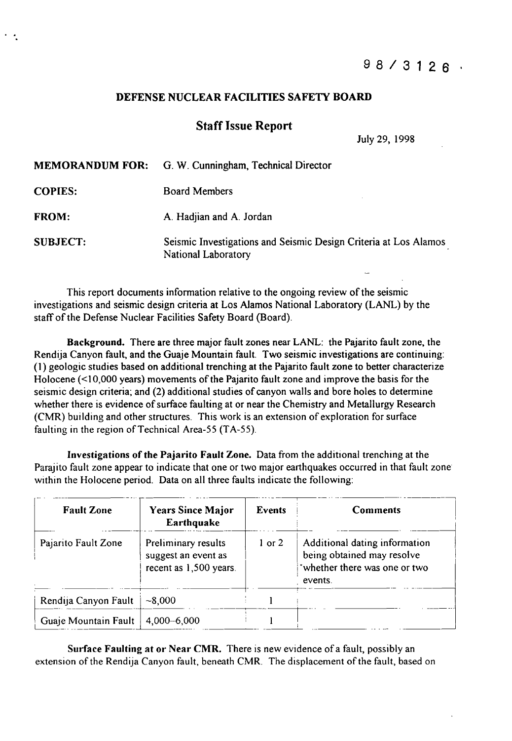## DEFENSE NUCLEAR FACILITIES SAFETY BOARD

## Staff Issue Report

July 29, 1998

|                 | <b>MEMORANDUM FOR:</b> G. W. Cunningham, Technical Director                             |  |
|-----------------|-----------------------------------------------------------------------------------------|--|
| <b>COPIES:</b>  | <b>Board Members</b>                                                                    |  |
| <b>FROM:</b>    | A. Hadjian and A. Jordan                                                                |  |
| <b>SUBJECT:</b> | Seismic Investigations and Seismic Design Criteria at Los Alamos<br>National Laboratory |  |

This report documents information relative to the ongoing review of the seismic investigations and seismic design criteria at Los Alamos National Laboratory (LANL) by the staff of the Defense Nuclear Facilities Safety Board (Board).

Background. There are three major fault zones near LANL: the Pajarito fault zone, the Rendija Canyon fault, and the Guaje Mountain fault. Two seismic investigations are continuing: (1) geologic studies based on additional trenching at the Pajarito fault zone to better characterize Holocene  $(\leq 10,000$  years) movements of the Pajarito fault zone and improve the basis for the seismic design criteria; and (2) additional studies of canyon walls and bore holes to determine whether there is evidence of surface faulting at or near the Chemistry and Metallurgy Research (CMR) building and other structures. This work is an extension of exploration for surface faulting in the region of Technical Area-55 (TA-55).

Investigations of the Pajarito Fault Zone. Data from the additional trenching at the Parajito fault zone appear to indicate that one or two major earthquakes occurred in that fault zone within the Holocene period. Data on all three faults indicate the following:

| <b>Fault Zone</b>    | <b>Years Since Major</b><br>Earthquake                               | <b>Events</b> | <b>Comments</b>                                                                                         |
|----------------------|----------------------------------------------------------------------|---------------|---------------------------------------------------------------------------------------------------------|
| Pajarito Fault Zone  | Preliminary results<br>suggest an event as<br>recent as 1,500 years. | $1$ or $2$    | Additional dating information<br>being obtained may resolve<br>'whether there was one or two<br>events. |
| Rendija Canyon Fault | $-8,000$                                                             |               |                                                                                                         |
| Guaje Mountain Fault | $4,000 - 6,000$                                                      |               |                                                                                                         |

Surface Faulting at or Near CMR. There is new evidence of a fault, possibly an extension of the Rendija Canyon fault, beneath CMR. The displacement of the fault, based on